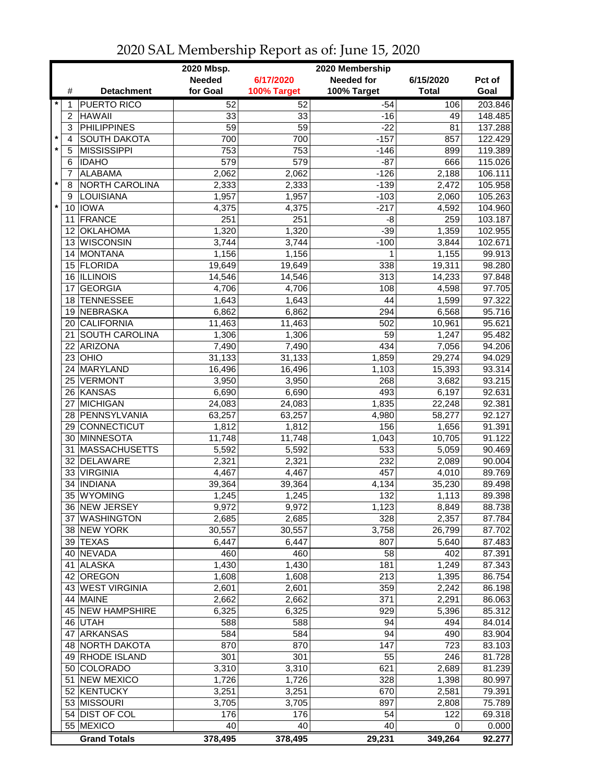|         |    |                       | 2020 Mbsp.    |             | 2020 Membership   |              |         |
|---------|----|-----------------------|---------------|-------------|-------------------|--------------|---------|
|         |    |                       | <b>Needed</b> | 6/17/2020   | <b>Needed for</b> | 6/15/2020    | Pct of  |
|         | #  | <b>Detachment</b>     | for Goal      | 100% Target | 100% Target       | <b>Total</b> | Goal    |
| $\star$ | 1  | <b>PUERTO RICO</b>    | 52            | 52          | $-54$             | 106          | 203.846 |
|         | 2  | <b>HAWAII</b>         | 33            | 33          | $-16$             | 49           | 148.485 |
|         | 3  | <b>PHILIPPINES</b>    | 59            | 59          | $-22$             | 81           | 137.288 |
| $\star$ | 4  | <b>SOUTH DAKOTA</b>   | 700           | 700         | $-157$            | 857          | 122.429 |
| $\star$ | 5  | <b>MISSISSIPPI</b>    | 753           | 753         | $-146$            | 899          | 119.389 |
|         | 6  | <b>IDAHO</b>          | 579           | 579         | $-87$             | 666          | 115.026 |
|         | 7  | <b>ALABAMA</b>        | 2,062         | 2,062       | $-126$            | 2,188        | 106.111 |
| $\star$ | 8  | NORTH CAROLINA        | 2,333         | 2,333       | $-139$            | 2,472        | 105.958 |
|         | 9  | LOUISIANA             | 1,957         | 1,957       | $-103$            | 2,060        | 105.263 |
| $\star$ |    | 10 <b>IOWA</b>        | 4,375         | 4,375       | $-217$            | 4,592        | 104.960 |
|         | 11 | FRANCE                | 251           | 251         | -8                | 259          | 103.187 |
|         | 12 | <b>OKLAHOMA</b>       | 1,320         | 1,320       | $-39$             | 1,359        | 102.955 |
|         |    | 13 WISCONSIN          | 3,744         | 3,744       | $-100$            | 3,844        | 102.671 |
|         |    | 14 MONTANA            | 1,156         | 1,156       | 1                 | 1,155        | 99.913  |
|         | 15 | FLORIDA               | 19,649        | 19,649      | 338               | 19,311       | 98.280  |
|         | 16 | <b>ILLINOIS</b>       | 14,546        | 14,546      | 313               | 14,233       | 97.848  |
|         | 17 | <b>GEORGIA</b>        | 4,706         | 4,706       | 108               | 4,598        | 97.705  |
|         | 18 | <b>TENNESSEE</b>      | 1,643         | 1,643       | 44                | 1,599        | 97.322  |
|         | 19 | NEBRASKA              | 6,862         | 6,862       | 294               | 6,568        | 95.716  |
|         | 20 | <b>CALIFORNIA</b>     | 11,463        | 11,463      | 502               | 10,961       | 95.621  |
|         | 21 | <b>SOUTH CAROLINA</b> | 1,306         | 1,306       | 59                | 1,247        | 95.482  |
|         | 22 | <b>ARIZONA</b>        | 7,490         | 7,490       | 434               | 7,056        | 94.206  |
|         | 23 | OHIO                  | 31,133        | 31,133      | 1,859             | 29,274       | 94.029  |
|         |    | 24 MARYLAND           | 16,496        | 16,496      | 1,103             | 15,393       | 93.314  |
|         | 25 | <b>VERMONT</b>        | 3,950         | 3,950       | 268               | 3,682        | 93.215  |
|         |    | 26 KANSAS             | 6,690         | 6,690       | 493               | 6,197        | 92.631  |
|         |    | 27 MICHIGAN           | 24,083        | 24,083      | 1,835             | 22,248       | 92.381  |
|         |    | 28 PENNSYLVANIA       | 63,257        | 63,257      | 4,980             | 58,277       | 92.127  |
|         | 29 | CONNECTICUT           | 1,812         | 1,812       | 156               | 1,656        | 91.391  |
|         |    | 30 MINNESOTA          | 11,748        | 11,748      | 1,043             | 10,705       | 91.122  |
|         | 31 | MASSACHUSETTS         | 5,592         | 5,592       | 533               | 5,059        | 90.469  |
|         | 32 | DELAWARE              | 2,321         | 2,321       | 232               | 2,089        | 90.004  |
|         | 33 | <b>VIRGINIA</b>       | 4,467         | 4,467       | 457               | 4,010        | 89.769  |
|         | 34 | <b>INDIANA</b>        | 39,364        | 39,364      | 4,134             | 35,230       | 89.498  |
|         |    | 35 WYOMING            | 1,245         | 1,245       | 132               | 1,113        | 89.398  |
|         |    | 36 NEW JERSEY         | 9,972         | 9,972       | 1,123             | 8,849        | 88.738  |
|         |    | 37 WASHINGTON         | 2,685         | 2,685       | 328               | 2,357        | 87.784  |
|         |    | 38 NEW YORK           | 30,557        | 30,557      | 3,758             | 26,799       | 87.702  |
|         |    | 39 TEXAS              | 6,447         | 6,447       | 807               | 5,640        | 87.483  |
|         |    | 40 NEVADA             | 460           | 460         | 58                | 402          | 87.391  |
|         |    | 41 ALASKA             | 1,430         | 1,430       | 181               | 1,249        | 87.343  |
|         | 42 | <b>OREGON</b>         | 1,608         | 1,608       | 213               | 1,395        | 86.754  |
|         |    | 43 WEST VIRGINIA      | 2,601         | 2,601       | 359               | 2,242        | 86.198  |
|         |    | 44 MAINE              | 2,662         | 2,662       | 371               | 2,291        | 86.063  |
|         |    | 45 NEW HAMPSHIRE      | 6,325         | 6,325       | 929               | 5,396        | 85.312  |
|         |    | 46 UTAH               | 588           | 588         | 94                | 494          | 84.014  |
|         |    | 47 ARKANSAS           | 584           | 584         | 94                | 490          | 83.904  |
|         |    | 48 NORTH DAKOTA       | 870           | 870         | 147               | 723          | 83.103  |
|         |    | 49 RHODE ISLAND       | 301           | 301         | 55                | 246          | 81.728  |
|         |    | 50 COLORADO           | 3,310         |             | 621               |              |         |
|         |    |                       |               | 3,310       |                   | 2,689        | 81.239  |
|         |    | 51 NEW MEXICO         | 1,726         | 1,726       | 328               | 1,398        | 80.997  |
|         |    | 52 KENTUCKY           | 3,251         | 3,251       | 670               | 2,581        | 79.391  |
|         |    | 53 MISSOURI           | 3,705         | 3,705       | 897               | 2,808        | 75.789  |
|         |    | 54 DIST OF COL        | 176           | 176         | 54                | 122          | 69.318  |
|         |    | 55 MEXICO             | 40            | 40          | 40                | 0            | 0.000   |
|         |    | <b>Grand Totals</b>   | 378,495       | 378,495     | 29,231            | 349,264      | 92.277  |

## 2020 SAL Membership Report as of: June 15, 2020